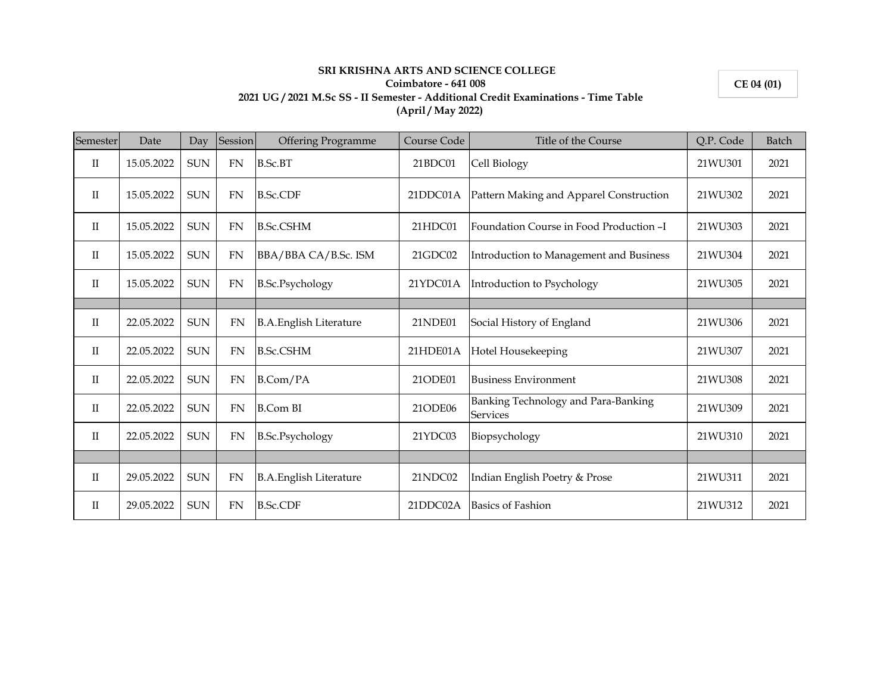**CE 04 (01)**

## **SRI KRISHNA ARTS AND SCIENCE COLLEGE Coimbatore - 641 008 2021 UG / 2021 M.Sc SS - II Semester - Additional Credit Examinations - Time Table (April / May 2022)**

Semester Date Day Session Offering Programme Course Code Title of the Course Q.P. Code Batch II 15.05.2022 SUN FN B.Sc.BT 21BDC01 Cell Biology 21WU301 2021 II 15.05.2022 SUN FN B.Sc.CDF 21DDC01A Pattern Making and Apparel Construction 21WU302 2021 II 15.05.2022 SUN FN B.Sc.CSHM 21HDC01 Foundation Course in Food Production –I 21WU303 2021 II 15.05.2022 SUN FN BBA/BBA CA/B.Sc. ISM 21GDC02 Introduction to Management and Business 21WU304 2021 II 15.05.2022 SUN FN B.Sc.Psychology 21YDC01A Introduction to Psychology 21WU305 2021 II 22.05.2022 SUN FN B.A.English Literature 21NDE01 Social History of England 21WU306 2021 II 22.05.2022 SUN FN B.Sc.CSHM 21HDE01A Hotel Housekeeping 21WU307 2021 II 22.05.2022 SUN FN B.Com/PA 21ODE01 Business Environment 21WU308 2021 II 22.05.2022 SUN FN B.Com BI 21ODE06 Banking Technology and Para-Banking Examing recruiting that rain burning 21WU309 2021 II 22.05.2022 SUN FN B.Sc.Psychology 21YDC03 Biopsychology 21WU310 2021 II 29.05.2022 SUN FN B.A.English Literature 21NDC02 Indian English Poetry & Prose 21WU311 2021 II 29.05.2022 SUN FN B.Sc.CDF 21DDC02A Basics of Fashion 21WU312 2021